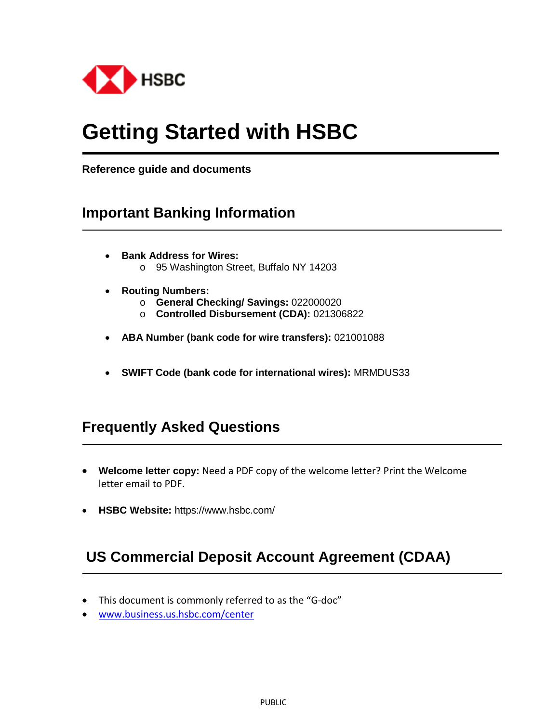

# **Getting Started with HSBC**

**Reference guide and documents** 

# **Important Banking Information**

- **Bank Address for Wires:** o 95 Washington Street, Buffalo NY 14203
- **Routing Numbers:** 
	- o **General Checking/ Savings:** 022000020
	- o **Controlled Disbursement (CDA):** 021306822
- **ABA Number (bank code for wire transfers):** 021001088
- **SWIFT Code (bank code for international wires):** MRMDUS33

# **Frequently Asked Questions**

- **Welcome letter copy:** Need a PDF copy of the welcome letter? Print the Welcome letter email to PDF.
- **HSBC Website:** https://www.hsbc.com/

# **US Commercial Deposit Account Agreement (CDAA)**

- This document is commonly referred to as the "G-doc"
- www.business.us.hsbc.com/center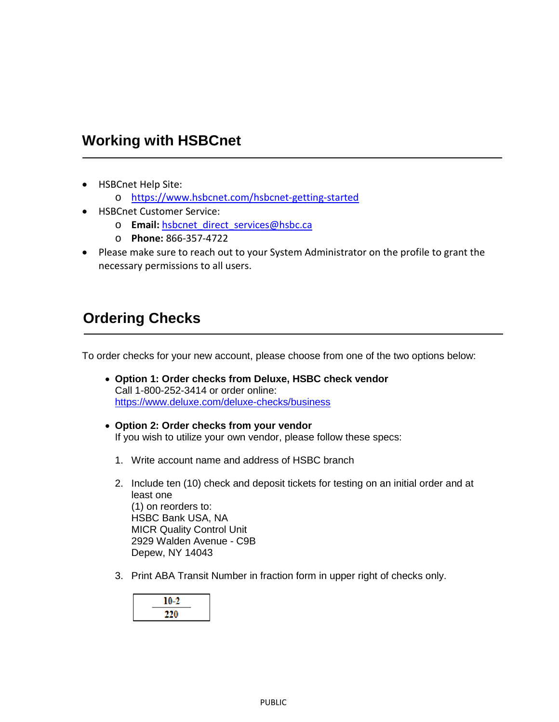# **Working with HSBCnet**

- HSBCnet Help Site:
	- o https://www.hsbcnet.com/hsbcnet-getting-started
- HSBCnet Customer Service:
	- o **Email:** hsbcnet\_direct\_services@hsbc.ca
	- o **Phone:** 866-357-4722
- Please make sure to reach out to your System Administrator on the profile to grant the necessary permissions to all users.

# **Ordering Checks**

To order checks for your new account, please choose from one of the two options below:

- **Option 1: Order checks from Deluxe, HSBC check vendor** Call 1-800-252-3414 or order online: https://www.deluxe.com/deluxe-checks/business
- **Option 2: Order checks from your vendor** If you wish to utilize your own vendor, please follow these specs:
	- 1. Write account name and address of HSBC branch
	- 2. Include ten (10) check and deposit tickets for testing on an initial order and at least one (1) on reorders to: HSBC Bank USA, NA MICR Quality Control Unit 2929 Walden Avenue - C9B Depew, NY 14043
	- 3. Print ABA Transit Number in fraction form in upper right of checks only.

| 10-2<br>z |  |
|-----------|--|
| 220       |  |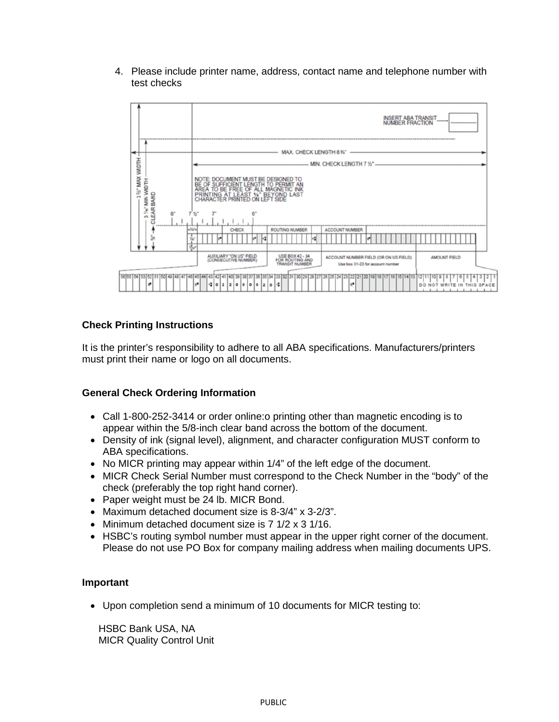4. Please include printer name, address, contact name and telephone number with test checks



#### **Check Printing Instructions**

It is the printer's responsibility to adhere to all ABA specifications. Manufacturers/printers must print their name or logo on all documents.

#### **General Check Ordering Information**

- Call 1-800-252-3414 or order online:o printing other than magnetic encoding is to appear within the 5/8-inch clear band across the bottom of the document.
- Density of ink (signal level), alignment, and character configuration MUST conform to ABA specifications.
- $\bullet$  No MICR printing may appear within 1/4" of the left edge of the document.
- MICR Check Serial Number must correspond to the Check Number in the "body" of the check (preferably the top right hand corner).
- Paper weight must be 24 lb. MICR Bond.
- Maximum detached document size is 8-3/4" x 3-2/3".
- Minimum detached document size is 7 1/2 x 3 1/16.
- HSBC's routing symbol number must appear in the upper right corner of the document. Please do not use PO Box for company mailing address when mailing documents UPS.

#### **Important**

Upon completion send a minimum of 10 documents for MICR testing to:

HSBC Bank USA, NA MICR Quality Control Unit